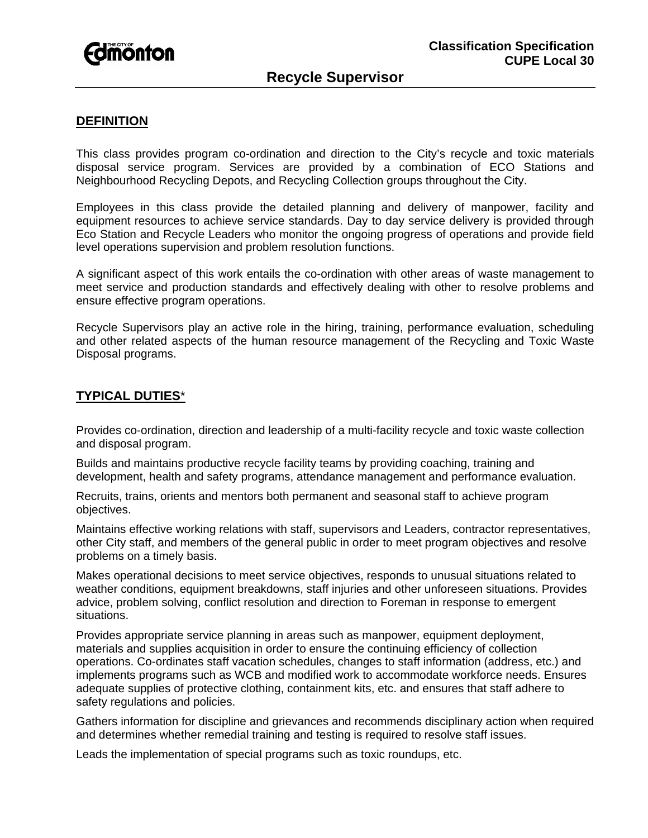

### **DEFINITION**

This class provides program co-ordination and direction to the City's recycle and toxic materials disposal service program. Services are provided by a combination of ECO Stations and Neighbourhood Recycling Depots, and Recycling Collection groups throughout the City.

Employees in this class provide the detailed planning and delivery of manpower, facility and equipment resources to achieve service standards. Day to day service delivery is provided through Eco Station and Recycle Leaders who monitor the ongoing progress of operations and provide field level operations supervision and problem resolution functions.

A significant aspect of this work entails the co-ordination with other areas of waste management to meet service and production standards and effectively dealing with other to resolve problems and ensure effective program operations.

Recycle Supervisors play an active role in the hiring, training, performance evaluation, scheduling and other related aspects of the human resource management of the Recycling and Toxic Waste Disposal programs.

## **TYPICAL DUTIES**\*

Provides co-ordination, direction and leadership of a multi-facility recycle and toxic waste collection and disposal program.

Builds and maintains productive recycle facility teams by providing coaching, training and development, health and safety programs, attendance management and performance evaluation.

Recruits, trains, orients and mentors both permanent and seasonal staff to achieve program objectives.

Maintains effective working relations with staff, supervisors and Leaders, contractor representatives, other City staff, and members of the general public in order to meet program objectives and resolve problems on a timely basis.

Makes operational decisions to meet service objectives, responds to unusual situations related to weather conditions, equipment breakdowns, staff injuries and other unforeseen situations. Provides advice, problem solving, conflict resolution and direction to Foreman in response to emergent situations.

Provides appropriate service planning in areas such as manpower, equipment deployment, materials and supplies acquisition in order to ensure the continuing efficiency of collection operations. Co-ordinates staff vacation schedules, changes to staff information (address, etc.) and implements programs such as WCB and modified work to accommodate workforce needs. Ensures adequate supplies of protective clothing, containment kits, etc. and ensures that staff adhere to safety regulations and policies.

Gathers information for discipline and grievances and recommends disciplinary action when required and determines whether remedial training and testing is required to resolve staff issues.

Leads the implementation of special programs such as toxic roundups, etc.